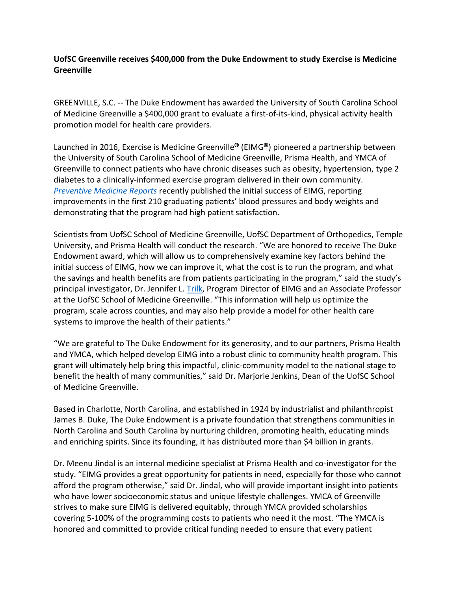## **UofSC Greenville receives \$400,000 from the Duke Endowment to study Exercise is Medicine Greenville**

GREENVILLE, S.C. -- The Duke Endowment has awarded the University of South Carolina School of Medicine Greenville a \$400,000 grant to evaluate a first-of-its-kind, physical activity health promotion model for health care providers.

Launched in 2016, Exercise is Medicine Greenville<sup>®</sup> (EIMG<sup>®</sup>) pioneered a partnership between the University of South Carolina School of Medicine Greenville, Prisma Health, and YMCA of Greenville to connect patients who have chronic diseases such as obesity, hypertension, type 2 diabetes to a clinically-informed exercise program delivered in their own community. *[Preventive Medicine Reports](https://www.ncbi.nlm.nih.gov/pmc/articles/PMC8790628/)* recently published the initial success of EIMG, reporting improvements in the first 210 graduating patients' blood pressures and body weights and demonstrating that the program had high patient satisfaction.

Scientists from UofSC School of Medicine Greenville, UofSC Department of Orthopedics, Temple University, and Prisma Health will conduct the research. "We are honored to receive The Duke Endowment award, which will allow us to comprehensively examine key factors behind the initial success of EIMG, how we can improve it, what the cost is to run the program, and what the savings and health benefits are from patients participating in the program," said the study's principal investigator, Dr. Jennifer L. [Trilk,](https://sc.edu/study/colleges_schools/medicine_greenville/faculty/facultydir/pfd455be39a413b421fa8c648fcd272aa7) Program Director of EIMG and an Associate Professor at the UofSC School of Medicine Greenville. "This information will help us optimize the program, scale across counties, and may also help provide a model for other health care systems to improve the health of their patients."

"We are grateful to The Duke Endowment for its generosity, and to our partners, Prisma Health and YMCA, which helped develop EIMG into a robust clinic to community health program. This grant will ultimately help bring this impactful, clinic-community model to the national stage to benefit the health of many communities," said Dr. Marjorie Jenkins, Dean of the UofSC School of Medicine Greenville.

Based in Charlotte, North Carolina, and established in 1924 by industrialist and philanthropist James B. Duke, The Duke Endowment is a private foundation that strengthens communities in North Carolina and South Carolina by nurturing children, promoting health, educating minds and enriching spirits. Since its founding, it has distributed more than \$4 billion in grants.

Dr. Meenu Jindal is an internal medicine specialist at Prisma Health and co-investigator for the study. "EIMG provides a great opportunity for patients in need, especially for those who cannot afford the program otherwise," said Dr. Jindal, who will provide important insight into patients who have lower socioeconomic status and unique lifestyle challenges. YMCA of Greenville strives to make sure EIMG is delivered equitably, through YMCA provided scholarships covering 5-100% of the programming costs to patients who need it the most. "The YMCA is honored and committed to provide critical funding needed to ensure that every patient